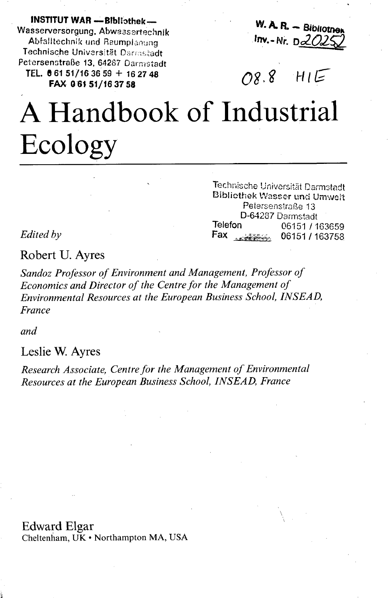**INSTITUT WAR -Bibliothek-**Wasserversorgung, Abwassertechnik Abfalltechnik und Raumplanung Technische Universität Darrastadt Petersenstraße 13, 64287 Darmstadt TEL. 061 51/16 36 59 + 16 27 48 FAX 061 51/16 37 58

 $W.$  A. R.  $-$  Bibliotner Inv.-Nr.  $D2029$ 

## $08.8$  $HIE$

## A Handbook of Industrial Ecology

Technische Universität Darmstadt **Bibliothek Wasser und Umwelt** Petersenstraße 13 D-64287 Darmstadt Telefon 06151 / 163659 Fax strategy 06151 / 163758

Edited by

Robert U. Ayres

Sandoz Professor of Environment and Management, Professor of Economics and Director of the Centre for the Management of Environmental Resources at the European Business School, INSEAD, France

and.

Leslie W. Ayres

Research Associate, Centre for the Management of Environmental Resources at the European Business School, INSEAD, France

**Edward Elgar** 

Cheltenham, UK · Northampton MA, USA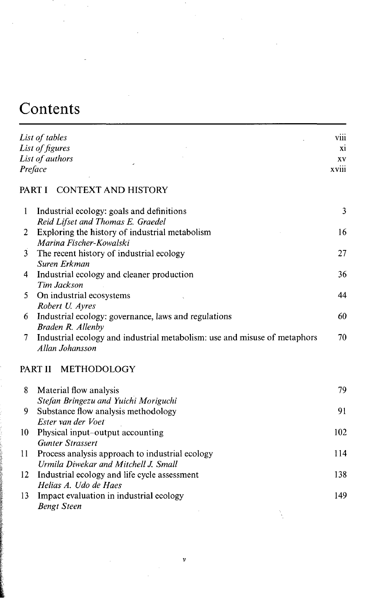## Contents

|                | List of tables                                                                                    | viii |
|----------------|---------------------------------------------------------------------------------------------------|------|
|                | List of figures                                                                                   | X1   |
|                | List of authors                                                                                   | XV   |
|                | Preface                                                                                           |      |
|                | PART I CONTEXT AND HISTORY                                                                        |      |
| 1              | Industrial ecology: goals and definitions<br>Reid Lifset and Thomas E. Graedel                    | 3    |
| 2              | Exploring the history of industrial metabolism<br>Marina Fischer-Kowalski                         | 16   |
| $\overline{3}$ | The recent history of industrial ecology<br>Suren Erkman                                          | 27   |
| 4              | Industrial ecology and cleaner production<br>Tim Jackson                                          | 36   |
| 5              | On industrial ecosystems<br>Robert U. Ayres                                                       | 44   |
| 6              | Industrial ecology: governance, laws and regulations<br>Braden R. Allenby                         | 60   |
| 7              | Industrial ecology and industrial metabolism: use and misuse of metaphors<br>Allan Johansson      | 70   |
|                | PART II METHODOLOGY                                                                               |      |
| 8              | Material flow analysis                                                                            | 79   |
| 9              | Stefan Bringezu and Yuichi Moriguchi<br>Substance flow analysis methodology<br>Ester van der Voet | 91   |
| 10             | Physical input-output accounting<br><b>Gunter Strassert</b>                                       | 102  |
| 11             | Process analysis approach to industrial ecology<br>Urmila Diwekar and Mitchell J. Small           | 114  |
| 12             | Industrial ecology and life cycle assessment<br>Helias A. Udo de Haes                             | 138  |
| 13             | Impact evaluation in industrial ecology<br><b>Bengt Steen</b>                                     | 149  |

 $\boldsymbol{v}$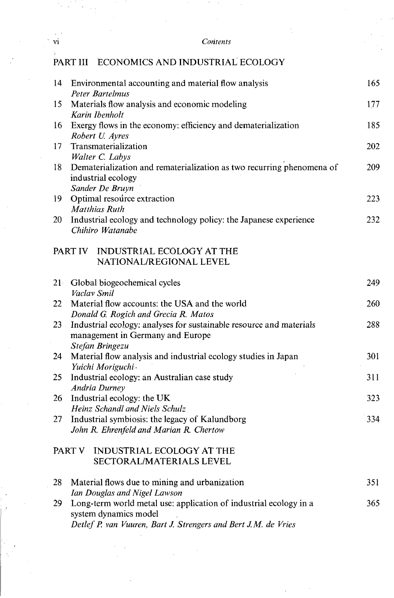vi *Contents*

## PART III ECONOMICS AND INDUSTRIAL ECOLOGY

| 14     | Environmental accounting and material flow analysis                   | 165 |
|--------|-----------------------------------------------------------------------|-----|
|        | Peter Bartelmus                                                       | 177 |
| 15     | Materials flow analysis and economic modeling<br>Karin Ibenholt       |     |
| 16     | Exergy flows in the economy: efficiency and dematerialization         | 185 |
|        | Robert U. Ayres                                                       |     |
| 17     | Transmaterialization                                                  | 202 |
|        | Walter C. Labys                                                       |     |
| 18     | Dematerialization and rematerialization as two recurring phenomena of | 209 |
|        | industrial ecology                                                    |     |
|        | Sander De Bruyn                                                       |     |
| 19     | Optimal resource extraction                                           | 223 |
|        | Matthias Ruth                                                         |     |
| 20     | Industrial ecology and technology policy: the Japanese experience     | 232 |
|        | Chihiro Watanabe                                                      |     |
|        | PART IV INDUSTRIAL ECOLOGY AT THE                                     |     |
|        | NATIONAL/REGIONAL LEVEL                                               |     |
|        |                                                                       |     |
| $21 -$ | Global biogeochemical cycles                                          | 249 |
|        | Vaclav Smil                                                           |     |
| 22     | Material flow accounts: the USA and the world                         | 260 |
|        | Donald G. Rogich and Grecia R. Matos                                  |     |
| 23     | Industrial ecology: analyses for sustainable resource and materials   | 288 |
|        | management in Germany and Europe                                      |     |
|        | Stefan Bringezu                                                       |     |
| 24     | Material flow analysis and industrial ecology studies in Japan        | 301 |
|        | Yuichi Moriguchi                                                      |     |
| 25     | Industrial ecology: an Australian case study                          | 311 |
| 26     | <b>Andria Durney</b><br>Industrial ecology: the UK                    | 323 |
|        | Heinz Schandl and Niels Schulz                                        |     |
| 27     | Industrial symbiosis: the legacy of Kalundborg                        | 334 |
|        | John R. Ehrenfeld and Marian R. Chertow                               |     |
|        |                                                                       |     |
|        | PART V<br><b>INDUSTRIAL ECOLOGY AT THE</b>                            |     |
|        | SECTORAL/MATERIALS LEVEL                                              |     |
|        |                                                                       |     |
| 28     | Material flows due to mining and urbanization                         | 351 |
|        | Ian Douglas and Nigel Lawson                                          |     |
| 29     | Long-term world metal use: application of industrial ecology in a     | 365 |
|        | system dynamics model                                                 |     |
|        | Detlef P. van Vuuren, Bart J. Strengers and Bert J.M. de Vries        |     |